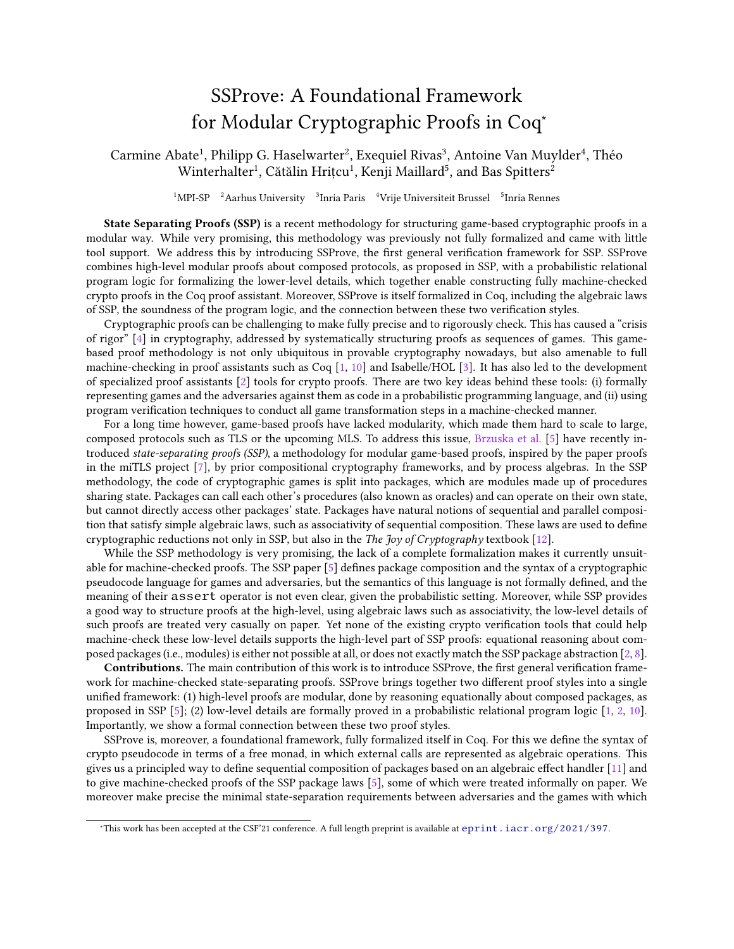## SSProve: A Foundational Framework for Modular Cryptographic Proofs in Coq<sup>∗</sup>

Carmine Abate<sup>1</sup>, Philipp G. Haselwarter<sup>2</sup>, Exequiel Rivas<sup>3</sup>, Antoine Van Muylder<sup>4</sup>, Théo  $\rm{Winterhalter^1, Cătălin Hrițcu^1, Kenji Mailard^5, and Bas Spitters^2}$ 

 $^1$ MPI-SP $\quad$   $^2$  Aarhus University  $\quad$   $^3$  Inria Paris  $\quad$   $^4$  Vrije Universiteit Brussel  $\quad$   $^5$  Inria Rennes

State Separating Proofs (SSP) is a recent methodology for structuring game-based cryptographic proofs in a modular way. While very promising, this methodology was previously not fully formalized and came with little tool support. We address this by introducing SSProve, the first general verification framework for SSP. SSProve combines high-level modular proofs about composed protocols, as proposed in SSP, with a probabilistic relational program logic for formalizing the lower-level details, which together enable constructing fully machine-checked crypto proofs in the Coq proof assistant. Moreover, SSProve is itself formalized in Coq, including the algebraic laws of SSP, the soundness of the program logic, and the connection between these two verication styles.

Cryptographic proofs can be challenging to make fully precise and to rigorously check. This has caused a "crisis of rigor" [\[4\]](#page-1-0) in cryptography, addressed by systematically structuring proofs as sequences of games. This gamebased proof methodology is not only ubiquitous in provable cryptography nowadays, but also amenable to full machine-checking in proof assistants such as Coq [\[1,](#page-1-1) [10\]](#page-1-2) and Isabelle/HOL [\[3\]](#page-1-3). It has also led to the development of specialized proof assistants [\[2\]](#page-1-4) tools for crypto proofs. There are two key ideas behind these tools: (i) formally representing games and the adversaries against them as code in a probabilistic programming language, and (ii) using program verification techniques to conduct all game transformation steps in a machine-checked manner.

For a long time however, game-based proofs have lacked modularity, which made them hard to scale to large, composed protocols such as TLS or the upcoming MLS. To address this issue, [Brzuska et al.](#page-1-5) [\[5\]](#page-1-5) have recently introduced state-separating proofs (SSP), a methodology for modular game-based proofs, inspired by the paper proofs in the miTLS project [\[7\]](#page-1-6), by prior compositional cryptography frameworks, and by process algebras. In the SSP methodology, the code of cryptographic games is split into packages, which are modules made up of procedures sharing state. Packages can call each other's procedures (also known as oracles) and can operate on their own state, but cannot directly access other packages' state. Packages have natural notions of sequential and parallel composition that satisfy simple algebraic laws, such as associativity of sequential composition. These laws are used to define cryptographic reductions not only in SSP, but also in the The Joy of Cryptography textbook [\[12\]](#page-1-7).

While the SSP methodology is very promising, the lack of a complete formalization makes it currently unsuitable for machine-checked proofs. The SSP paper  $[5]$  defines package composition and the syntax of a cryptographic pseudocode language for games and adversaries, but the semantics of this language is not formally defined, and the meaning of their assert operator is not even clear, given the probabilistic setting. Moreover, while SSP provides a good way to structure proofs at the high-level, using algebraic laws such as associativity, the low-level details of such proofs are treated very casually on paper. Yet none of the existing crypto verification tools that could help machine-check these low-level details supports the high-level part of SSP proofs: equational reasoning about composed packages (i.e., modules) is either not possible at all, or does not exactly match the SSP package abstraction [\[2,](#page-1-4) [8\]](#page-1-8).

Contributions. The main contribution of this work is to introduce SSProve, the first general verification framework for machine-checked state-separating proofs. SSProve brings together two different proof styles into a single unified framework: (1) high-level proofs are modular, done by reasoning equationally about composed packages, as proposed in SSP [\[5\]](#page-1-5); (2) low-level details are formally proved in a probabilistic relational program logic [\[1,](#page-1-1) [2,](#page-1-4) [10\]](#page-1-2). Importantly, we show a formal connection between these two proof styles.

SSProve is, moreover, a foundational framework, fully formalized itself in Coq. For this we define the syntax of crypto pseudocode in terms of a free monad, in which external calls are represented as algebraic operations. This gives us a principled way to define sequential composition of packages based on an algebraic effect handler  $[11]$  and to give machine-checked proofs of the SSP package laws [\[5\]](#page-1-5), some of which were treated informally on paper. We moreover make precise the minimal state-separation requirements between adversaries and the games with which

<sup>∗</sup>This work has been accepted at the CSF'21 conference. A full length preprint is available at <eprint.iacr.org/2021/397>.